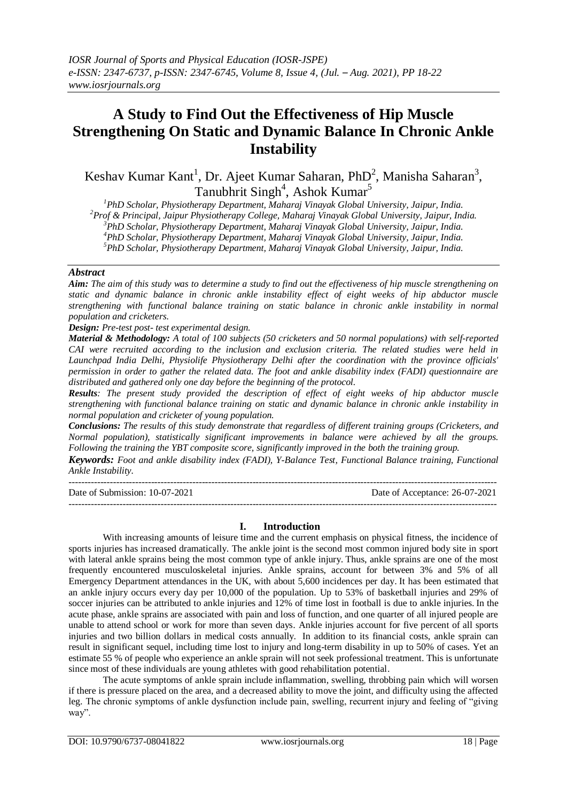# **A Study to Find Out the Effectiveness of Hip Muscle Strengthening On Static and Dynamic Balance In Chronic Ankle Instability**

Keshav Kumar Kant<sup>1</sup>, Dr. Ajeet Kumar Saharan, PhD<sup>2</sup>, Manisha Saharan<sup>3</sup>, Tanubhrit Singh<sup>4</sup>, Ashok Kumar<sup>5</sup>

*PhD Scholar, Physiotherapy Department, Maharaj Vinayak Global University, Jaipur, India. Prof & Principal, Jaipur Physiotherapy College, Maharaj Vinayak Global University, Jaipur, India. PhD Scholar, Physiotherapy Department, Maharaj Vinayak Global University, Jaipur, India. PhD Scholar, Physiotherapy Department, Maharaj Vinayak Global University, Jaipur, India.*

*<sup>5</sup>PhD Scholar, Physiotherapy Department, Maharaj Vinayak Global University, Jaipur, India.*

## *Abstract*

*Aim: The aim of this study was to determine a study to find out the effectiveness of hip muscle strengthening on static and dynamic balance in chronic ankle instability effect of eight weeks of hip abductor muscle strengthening with functional balance training on static balance in chronic ankle instability in normal population and cricketers.*

*Design: Pre-test post- test experimental design.*

*Material & Methodology: A total of 100 subjects (50 cricketers and 50 normal populations) with self-reported CAI were recruited according to the inclusion and exclusion criteria. The related studies were held in Launchpad India Delhi, Physiolife Physiotherapy Delhi after the coordination with the province officials' permission in order to gather the related data. The foot and ankle disability index (FADI) questionnaire are distributed and gathered only one day before the beginning of the protocol.* 

*Results: The present study provided the description of effect of eight weeks of hip abductor muscle strengthening with functional balance training on static and dynamic balance in chronic ankle instability in normal population and cricketer of young population.* 

*Conclusions: The results of this study demonstrate that regardless of different training groups (Cricketers, and Normal population), statistically significant improvements in balance were achieved by all the groups. Following the training the YBT composite score, significantly improved in the both the training group.* 

*Keywords: Foot and ankle disability index (FADI), Y-Balance Test, Functional Balance training, Functional Ankle Instability.*

---------------------------------------------------------------------------------------------------------------------------------------

--------------------------------------------------------------------------------------------------------------------------------------- Date of Submission: 10-07-2021 Date of Acceptance: 26-07-2021

**I. Introduction**

With increasing amounts of leisure time and the current emphasis on physical fitness, the incidence of sports injuries has increased dramatically. The ankle joint is the second most common injured body site in sport with lateral ankle sprains being the most common type of ankle injury. Thus, ankle sprains are one of the most frequently encountered musculoskeletal injuries. Ankle sprains, account for between 3% and 5% of all Emergency Department attendances in the UK, with about 5,600 incidences per day. It has been estimated that an ankle injury occurs every day per 10,000 of the population. Up to 53% of basketball injuries and 29% of soccer injuries can be attributed to ankle injuries and 12% of time lost in football is due to ankle injuries. In the acute phase, ankle sprains are associated with pain and loss of function, and one quarter of all injured people are unable to attend school or work for more than seven days. Ankle injuries account for five percent of all sports injuries and two billion dollars in medical costs annually. In addition to its financial costs, ankle sprain can result in significant sequel, including time lost to injury and long-term disability in up to 50% of cases. Yet an estimate 55 % of people who experience an ankle sprain will not seek professional treatment. This is unfortunate since most of these individuals are young athletes with good rehabilitation potential.

The acute symptoms of ankle sprain include inflammation, swelling, throbbing pain which will worsen if there is pressure placed on the area, and a decreased ability to move the joint, and difficulty using the affected leg. The chronic symptoms of ankle dysfunction include pain, swelling, recurrent injury and feeling of "giving way".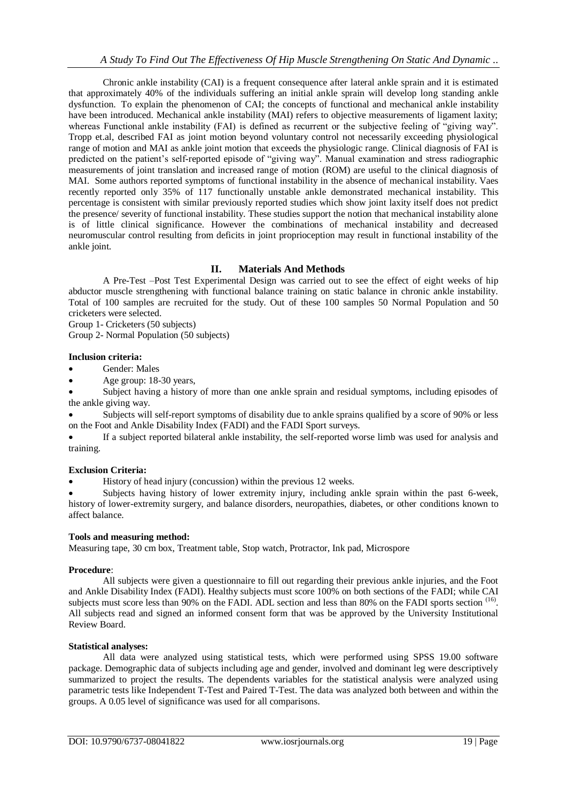Chronic ankle instability (CAI) is a frequent consequence after lateral ankle sprain and it is estimated that approximately 40% of the individuals suffering an initial ankle sprain will develop long standing ankle dysfunction. To explain the phenomenon of CAI; the concepts of functional and mechanical ankle instability have been introduced. Mechanical ankle instability (MAI) refers to objective measurements of ligament laxity; whereas Functional ankle instability (FAI) is defined as recurrent or the subjective feeling of "giving way". Tropp et.al, described FAI as joint motion beyond voluntary control not necessarily exceeding physiological range of motion and MAI as ankle joint motion that exceeds the physiologic range. Clinical diagnosis of FAI is predicted on the patient's self-reported episode of "giving way". Manual examination and stress radiographic measurements of joint translation and increased range of motion (ROM) are useful to the clinical diagnosis of MAI. Some authors reported symptoms of functional instability in the absence of mechanical instability. Vaes recently reported only 35% of 117 functionally unstable ankle demonstrated mechanical instability. This percentage is consistent with similar previously reported studies which show joint laxity itself does not predict the presence/ severity of functional instability. These studies support the notion that mechanical instability alone is of little clinical significance. However the combinations of mechanical instability and decreased neuromuscular control resulting from deficits in joint proprioception may result in functional instability of the ankle joint.

# **II. Materials And Methods**

A Pre-Test –Post Test Experimental Design was carried out to see the effect of eight weeks of hip abductor muscle strengthening with functional balance training on static balance in chronic ankle instability. Total of 100 samples are recruited for the study. Out of these 100 samples 50 Normal Population and 50 cricketers were selected.

Group 1- Cricketers (50 subjects) Group 2- Normal Population (50 subjects)

## **Inclusion criteria:**

Gender: Males

Age group: 18-30 years,

 Subject having a history of more than one ankle sprain and residual symptoms, including episodes of the ankle giving way.

 Subjects will self-report symptoms of disability due to ankle sprains qualified by a score of 90% or less on the Foot and Ankle Disability Index (FADI) and the FADI Sport surveys.

 If a subject reported bilateral ankle instability, the self-reported worse limb was used for analysis and training.

#### **Exclusion Criteria:**

History of head injury (concussion) within the previous 12 weeks.

 Subjects having history of lower extremity injury, including ankle sprain within the past 6-week, history of lower-extremity surgery, and balance disorders, neuropathies, diabetes, or other conditions known to affect balance.

## **Tools and measuring method:**

Measuring tape, 30 cm box, Treatment table, Stop watch, Protractor, Ink pad, Microspore

#### **Procedure**:

All subjects were given a questionnaire to fill out regarding their previous ankle injuries, and the Foot and Ankle Disability Index (FADI). Healthy subjects must score 100% on both sections of the FADI; while CAI subjects must score less than 90% on the FADI. ADL section and less than 80% on the FADI sports section <sup>(16)</sup>. All subjects read and signed an informed consent form that was be approved by the University Institutional Review Board.

#### **Statistical analyses:**

All data were analyzed using statistical tests, which were performed using SPSS 19.00 software package. Demographic data of subjects including age and gender, involved and dominant leg were descriptively summarized to project the results. The dependents variables for the statistical analysis were analyzed using parametric tests like Independent T-Test and Paired T-Test. The data was analyzed both between and within the groups. A 0.05 level of significance was used for all comparisons.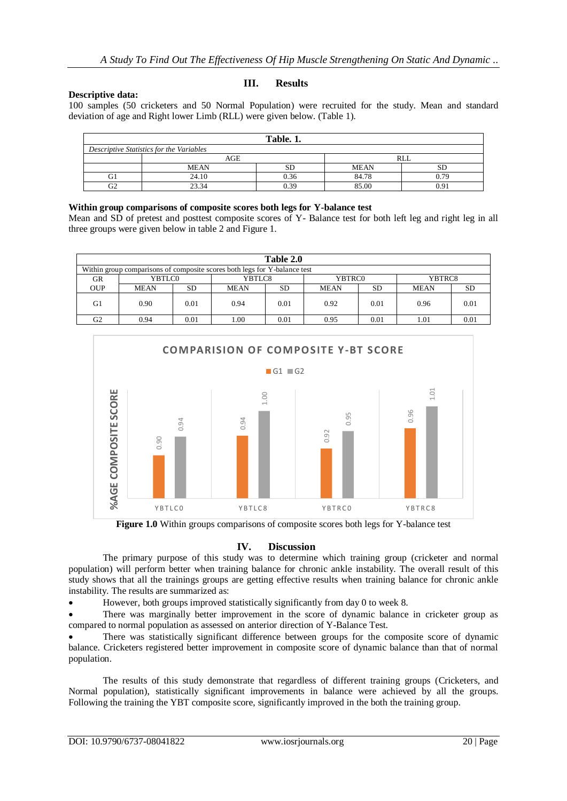### **Descriptive data:**

#### **III. Results**

100 samples (50 cricketers and 50 Normal Population) were recruited for the study. Mean and standard deviation of age and Right lower Limb (RLL) were given below. (Table 1).

| Table. 1.                                |             |      |             |      |  |  |  |  |  |  |
|------------------------------------------|-------------|------|-------------|------|--|--|--|--|--|--|
| Descriptive Statistics for the Variables |             |      |             |      |  |  |  |  |  |  |
|                                          | AGE         |      | RLL         |      |  |  |  |  |  |  |
|                                          | <b>MEAN</b> | SD.  | <b>MEAN</b> | SD   |  |  |  |  |  |  |
| G1                                       | 24.10       | 0.36 | 84.78       | 0.79 |  |  |  |  |  |  |
| G2                                       | 23.34       | 0.39 | 85.00       | ገ 91 |  |  |  |  |  |  |

## **Within group comparisons of composite scores both legs for Y-balance test**

Mean and SD of pretest and posttest composite scores of Y- Balance test for both left leg and right leg in all three groups were given below in table 2 and Figure 1.

| Table 2.0                                                                 |             |      |             |      |             |      |             |      |  |  |  |
|---------------------------------------------------------------------------|-------------|------|-------------|------|-------------|------|-------------|------|--|--|--|
| Within group comparisons of composite scores both legs for Y-balance test |             |      |             |      |             |      |             |      |  |  |  |
| GR                                                                        | YBTLC0      |      | YBTLC8      |      | YBTRC0      |      | YBTRC8      |      |  |  |  |
| <b>OUP</b>                                                                | <b>MEAN</b> | SD   | <b>MEAN</b> | SD   | <b>MEAN</b> | SD   | <b>MEAN</b> | SD   |  |  |  |
| G <sub>1</sub>                                                            | 0.90        | 0.01 | 0.94        | 0.01 | 0.92        | 0.01 | 0.96        | 0.01 |  |  |  |
| G2                                                                        | 0.94        | 0.01 | 1.00        | 0.01 | 0.95        | 0.01 | 1.01        | 0.01 |  |  |  |



**Figure 1.0** Within groups comparisons of composite scores both legs for Y-balance test

#### **IV. Discussion**

The primary purpose of this study was to determine which training group (cricketer and normal population) will perform better when training balance for chronic ankle instability. The overall result of this study shows that all the trainings groups are getting effective results when training balance for chronic ankle instability. The results are summarized as:

However, both groups improved statistically significantly from day 0 to week 8.

 There was marginally better improvement in the score of dynamic balance in cricketer group as compared to normal population as assessed on anterior direction of Y-Balance Test.

 There was statistically significant difference between groups for the composite score of dynamic balance. Cricketers registered better improvement in composite score of dynamic balance than that of normal population.

The results of this study demonstrate that regardless of different training groups (Cricketers, and Normal population), statistically significant improvements in balance were achieved by all the groups.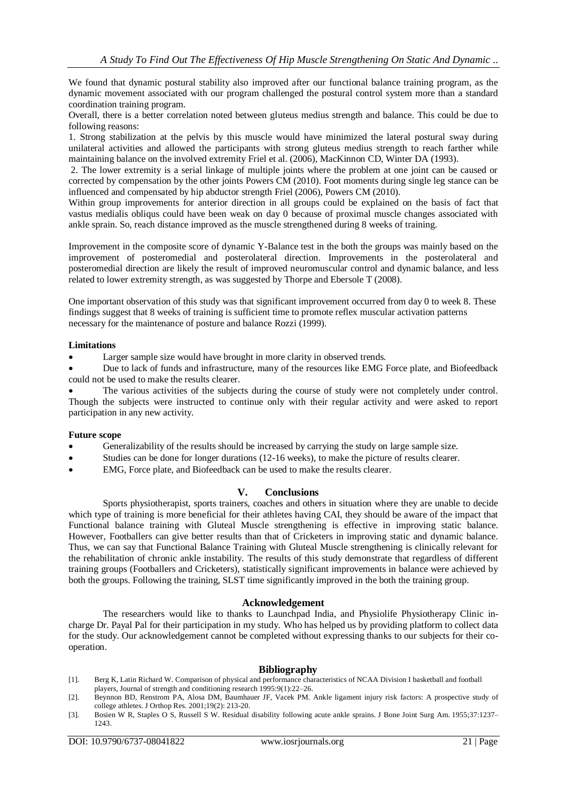We found that dynamic postural stability also improved after our functional balance training program, as the dynamic movement associated with our program challenged the postural control system more than a standard coordination training program.

Overall, there is a better correlation noted between gluteus medius strength and balance. This could be due to following reasons:

1. Strong stabilization at the pelvis by this muscle would have minimized the lateral postural sway during unilateral activities and allowed the participants with strong gluteus medius strength to reach farther while maintaining balance on the involved extremity Friel et al. (2006), MacKinnon CD, Winter DA (1993).

2. The lower extremity is a serial linkage of multiple joints where the problem at one joint can be caused or corrected by compensation by the other joints Powers CM (2010). Foot moments during single leg stance can be influenced and compensated by hip abductor strength Friel (2006), Powers CM (2010).

Within group improvements for anterior direction in all groups could be explained on the basis of fact that vastus medialis obliqus could have been weak on day 0 because of proximal muscle changes associated with ankle sprain. So, reach distance improved as the muscle strengthened during 8 weeks of training.

Improvement in the composite score of dynamic Y-Balance test in the both the groups was mainly based on the improvement of posteromedial and posterolateral direction. Improvements in the posterolateral and posteromedial direction are likely the result of improved neuromuscular control and dynamic balance, and less related to lower extremity strength, as was suggested by Thorpe and Ebersole T (2008).

One important observation of this study was that significant improvement occurred from day 0 to week 8. These findings suggest that 8 weeks of training is sufficient time to promote reflex muscular activation patterns necessary for the maintenance of posture and balance Rozzi (1999).

#### **Limitations**

Larger sample size would have brought in more clarity in observed trends.

 Due to lack of funds and infrastructure, many of the resources like EMG Force plate, and Biofeedback could not be used to make the results clearer.

 The various activities of the subjects during the course of study were not completely under control. Though the subjects were instructed to continue only with their regular activity and were asked to report participation in any new activity.

## **Future scope**

- Generalizability of the results should be increased by carrying the study on large sample size.
- Studies can be done for longer durations (12-16 weeks), to make the picture of results clearer.
- EMG, Force plate, and Biofeedback can be used to make the results clearer.

## **V. Conclusions**

Sports physiotherapist, sports trainers, coaches and others in situation where they are unable to decide which type of training is more beneficial for their athletes having CAI, they should be aware of the impact that Functional balance training with Gluteal Muscle strengthening is effective in improving static balance. However, Footballers can give better results than that of Cricketers in improving static and dynamic balance. Thus, we can say that Functional Balance Training with Gluteal Muscle strengthening is clinically relevant for the rehabilitation of chronic ankle instability. The results of this study demonstrate that regardless of different training groups (Footballers and Cricketers), statistically significant improvements in balance were achieved by both the groups. Following the training, SLST time significantly improved in the both the training group.

#### **Acknowledgement**

The researchers would like to thanks to Launchpad India, and Physiolife Physiotherapy Clinic incharge Dr. Payal Pal for their participation in my study. Who has helped us by providing platform to collect data for the study. Our acknowledgement cannot be completed without expressing thanks to our subjects for their cooperation.

#### **Bibliography**

- [1]. Berg K, Latin Richard W. Comparison of physical and performance characteristics of NCAA Division I basketball and football players, Journal of strength and conditioning research 1995:9(1):22–26.
- [2]. Beynnon BD, Renstrom PA, Alosa DM, Baumhauer JF, Vacek PM. Ankle ligament injury risk factors: A prospective study of college athletes. J Orthop Res. 2001;19(2): 213-20.
- [3]. Bosien W R, Staples O S, Russell S W. Residual disability following acute ankle sprains. J Bone Joint Surg Am. 1955;37:1237– 1243.